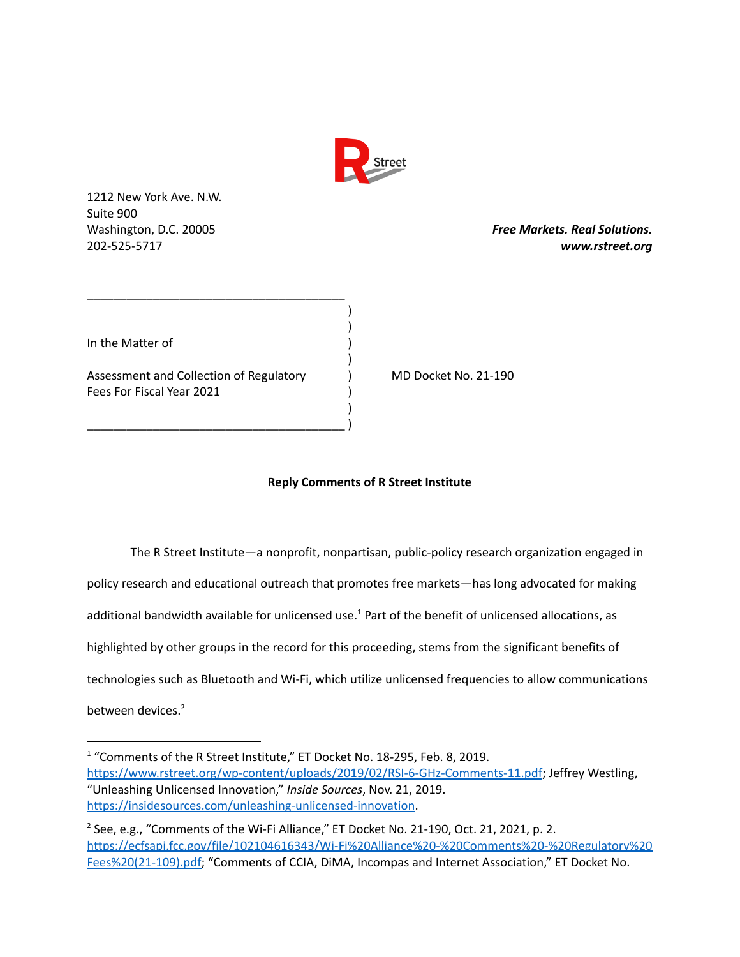

) )

)

)

1212 New York Ave. N.W. Suite 900

Washington, D.C. 20005 *Free Markets. Real Solutions.* 202-525-5717 *www.rstreet.org*

In the Matter of )

Assessment and Collection of Regulatory ) MD Docket No. 21-190 Fees For Fiscal Year 2021 )

\_\_\_\_\_\_\_\_\_\_\_\_\_\_\_\_\_\_\_\_\_\_\_\_\_\_\_\_\_\_\_\_\_\_\_\_\_\_\_

\_\_\_\_\_\_\_\_\_\_\_\_\_\_\_\_\_\_\_\_\_\_\_\_\_\_\_\_\_\_\_\_\_\_\_\_\_\_\_ )

## **Reply Comments of R Street Institute**

The R Street Institute—a nonprofit, nonpartisan, public-policy research organization engaged in policy research and educational outreach that promotes free markets—has long advocated for making additional bandwidth available for unlicensed use.<sup>1</sup> Part of the benefit of unlicensed allocations, as highlighted by other groups in the record for this proceeding, stems from the significant benefits of technologies such as Bluetooth and Wi-Fi, which utilize unlicensed frequencies to allow communications between devices. 2

<sup>&</sup>lt;sup>1</sup> "Comments of the R Street Institute," ET Docket No. 18-295, Feb. 8, 2019. [https://www.rstreet.org/wp-content/uploads/2019/02/RSI-6-GHz-Comments-11.pdf;](https://www.rstreet.org/wp-content/uploads/2019/02/RSI-6-GHz-Comments-11.pdf) Jeffrey Westling, "Unleashing Unlicensed Innovation," *Inside Sources*, Nov. 21, 2019. <https://insidesources.com/unleashing-unlicensed-innovation>.

<sup>&</sup>lt;sup>2</sup> See, e.g., "Comments of the Wi-Fi Alliance," ET Docket No. 21-190, Oct. 21, 2021, p. 2. [https://ecfsapi.fcc.gov/file/102104616343/Wi-Fi%20Alliance%20-%20Comments%20-%20Regulatory%20](https://ecfsapi.fcc.gov/file/102104616343/Wi-Fi%20Alliance%20-%20Comments%20-%20Regulatory%20Fees%20(21-109).pdf) [Fees%20\(21-109\).pdf;](https://ecfsapi.fcc.gov/file/102104616343/Wi-Fi%20Alliance%20-%20Comments%20-%20Regulatory%20Fees%20(21-109).pdf) "Comments of CCIA, DiMA, Incompas and Internet Association," ET Docket No.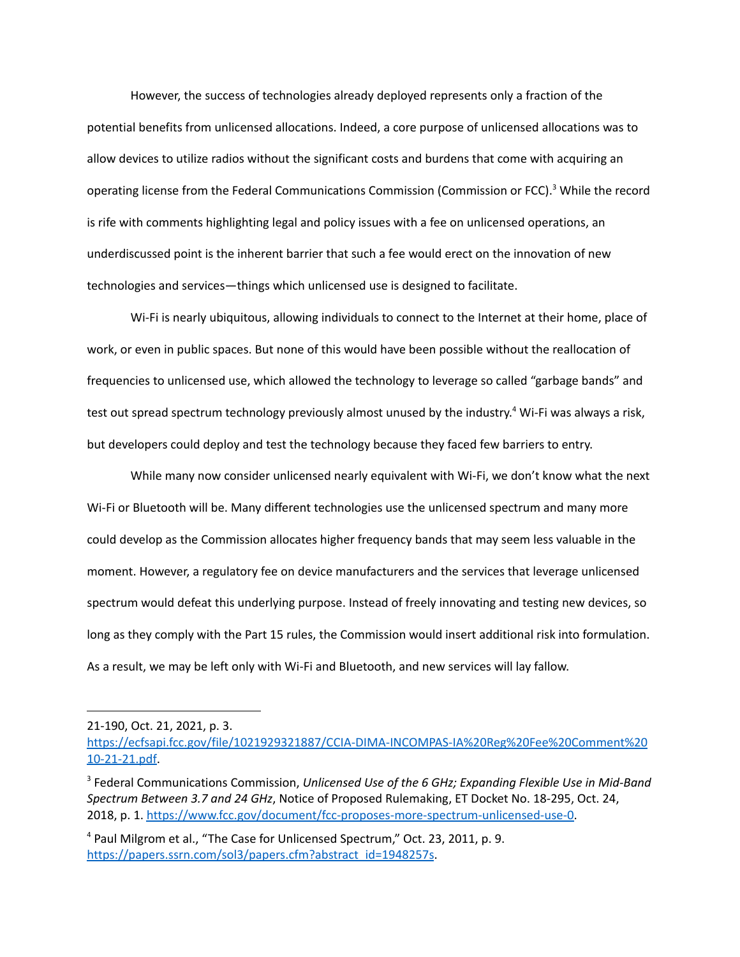However, the success of technologies already deployed represents only a fraction of the potential benefits from unlicensed allocations. Indeed, a core purpose of unlicensed allocations was to allow devices to utilize radios without the significant costs and burdens that come with acquiring an operating license from the Federal Communications Commission (Commission or FCC).<sup>3</sup> While the record is rife with comments highlighting legal and policy issues with a fee on unlicensed operations, an underdiscussed point is the inherent barrier that such a fee would erect on the innovation of new technologies and services—things which unlicensed use is designed to facilitate.

Wi-Fi is nearly ubiquitous, allowing individuals to connect to the Internet at their home, place of work, or even in public spaces. But none of this would have been possible without the reallocation of frequencies to unlicensed use, which allowed the technology to leverage so called "garbage bands" and test out spread spectrum technology previously almost unused by the industry.<sup>4</sup> Wi-Fi was always a risk, but developers could deploy and test the technology because they faced few barriers to entry.

While many now consider unlicensed nearly equivalent with Wi-Fi, we don't know what the next Wi-Fi or Bluetooth will be. Many different technologies use the unlicensed spectrum and many more could develop as the Commission allocates higher frequency bands that may seem less valuable in the moment. However, a regulatory fee on device manufacturers and the services that leverage unlicensed spectrum would defeat this underlying purpose. Instead of freely innovating and testing new devices, so long as they comply with the Part 15 rules, the Commission would insert additional risk into formulation. As a result, we may be left only with Wi-Fi and Bluetooth, and new services will lay fallow.

<sup>21-190,</sup> Oct. 21, 2021, p. 3.

[https://ecfsapi.fcc.gov/file/1021929321887/CCIA-DIMA-INCOMPAS-IA%20Reg%20Fee%20Comment%20](https://ecfsapi.fcc.gov/file/1021929321887/CCIA-DIMA-INCOMPAS-IA%20Reg%20Fee%20Comment%2010-21-21.pdf) [10-21-21.pdf.](https://ecfsapi.fcc.gov/file/1021929321887/CCIA-DIMA-INCOMPAS-IA%20Reg%20Fee%20Comment%2010-21-21.pdf)

<sup>3</sup> Federal Communications Commission, *Unlicensed Use of the 6 GHz; Expanding Flexible Use in Mid-Band Spectrum Between 3.7 and 24 GHz*, Notice of Proposed Rulemaking, ET Docket No. 18-295, Oct. 24, 2018, p. 1. <https://www.fcc.gov/document/fcc-proposes-more-spectrum-unlicensed-use-0>.

<sup>4</sup> Paul Milgrom et al., "The Case for Unlicensed Spectrum," Oct. 23, 2011, p. 9. [https://papers.ssrn.com/sol3/papers.cfm?abstract\\_id=1948257s](https://papers.ssrn.com/sol3/papers.cfm?abstract_id=1948257&download=yes).